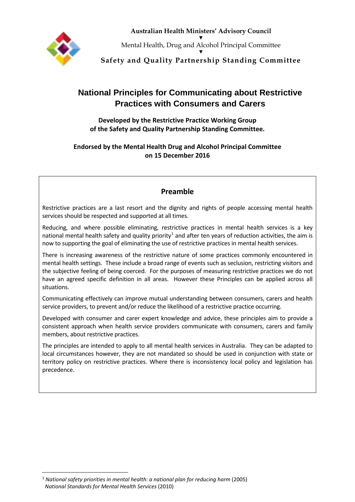

**Australian Health Ministers' Advisory Council** ▼ Mental Health, Drug and Alcohol Principal Committee ▼

**Safety and Quality Partnership Standing Committee**

# **National Principles for Communicating about Restrictive Practices with Consumers and Carers**

**Developed by the Restrictive Practice Working Group of the Safety and Quality Partnership Standing Committee.**

**Endorsed by the Mental Health Drug and Alcohol Principal Committee on 15 December 2016**

### **Preamble**

Restrictive practices are a last resort and the dignity and rights of people accessing mental health services should be respected and supported at all times.

Reducing, and where possible eliminating, restrictive practices in mental health services is a key national mental health safety and quality priority<sup>[1](#page-0-0)</sup> and after ten years of reduction activities, the aim is now to supporting the goal of eliminating the use of restrictive practices in mental health services.

There is increasing awareness of the restrictive nature of some practices commonly encountered in mental health settings. These include a broad range of events such as seclusion, restricting visitors and the subjective feeling of being coerced. For the purposes of measuring restrictive practices we do not have an agreed specific definition in all areas. However these Principles can be applied across all situations.

Communicating effectively can improve mutual understanding between consumers, carers and health service providers, to prevent and/or reduce the likelihood of a restrictive practice occurring.

Developed with consumer and carer expert knowledge and advice, these principles aim to provide a consistent approach when health service providers communicate with consumers, carers and family members, about restrictive practices.

The principles are intended to apply to all mental health services in Australia. They can be adapted to local circumstances however, they are not mandated so should be used in conjunction with state or territory policy on restrictive practices. Where there is inconsistency local policy and legislation has precedence.

<span id="page-0-0"></span> <sup>1</sup> *National safety priorities in mental health: a national plan for reducing harm* (2005) *National Standards for Mental Health Services* (2010)